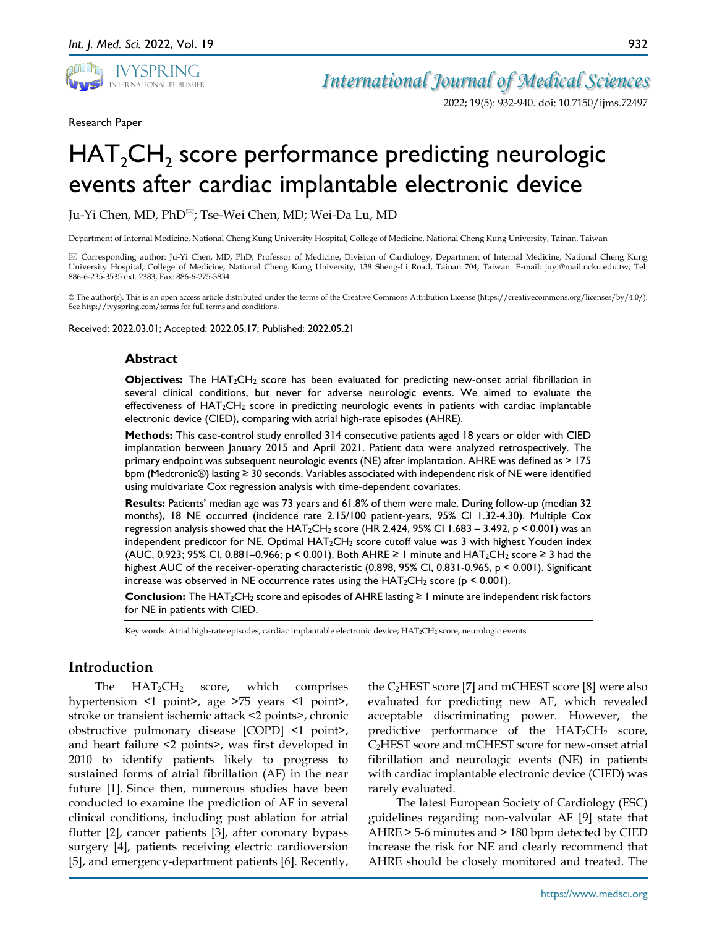

*International Journal of Medical Sciences*

2022; 19(5): 932-940. doi: 10.7150/ijms.72497

Research Paper

# $HAT_2CH_2$  score performance predicting neurologic events after cardiac implantable electronic device

Ju-Yi Chen, MD, PhD<sup>⊠</sup>; Tse-Wei Chen, MD; Wei-Da Lu, MD

Department of Internal Medicine, National Cheng Kung University Hospital, College of Medicine, National Cheng Kung University, Tainan, Taiwan

 Corresponding author: Ju-Yi Chen, MD, PhD, Professor of Medicine, Division of Cardiology, Department of Internal Medicine, National Cheng Kung University Hospital, College of Medicine, National Cheng Kung University, 138 Sheng-Li Road, Tainan 704, Taiwan. E-mail: juyi@mail.ncku.edu.tw; Tel: 886-6-235-3535 ext. 2383; Fax: 886-6-275-3834

© The author(s). This is an open access article distributed under the terms of the Creative Commons Attribution License (https://creativecommons.org/licenses/by/4.0/). See http://ivyspring.com/terms for full terms and conditions.

Received: 2022.03.01; Accepted: 2022.05.17; Published: 2022.05.21

#### **Abstract**

**Objectives:** The HAT2CH2 score has been evaluated for predicting new-onset atrial fibrillation in several clinical conditions, but never for adverse neurologic events. We aimed to evaluate the effectiveness of  $HAT_2CH_2$  score in predicting neurologic events in patients with cardiac implantable electronic device (CIED), comparing with atrial high-rate episodes (AHRE).

**Methods:** This case-control study enrolled 314 consecutive patients aged 18 years or older with CIED implantation between January 2015 and April 2021. Patient data were analyzed retrospectively. The primary endpoint was subsequent neurologic events (NE) after implantation. AHRE was defined as > 175 bpm (Medtronic®) lasting ≥ 30 seconds. Variables associated with independent risk of NE were identified using multivariate Cox regression analysis with time-dependent covariates.

**Results:** Patients' median age was 73 years and 61.8% of them were male. During follow-up (median 32 months), 18 NE occurred (incidence rate 2.15/100 patient-years, 95% CI 1.32-4.30). Multiple Cox regression analysis showed that the HAT2CH2 score (HR 2.424, 95% CI 1.683 – 3.492, p < 0.001) was an independent predictor for NE. Optimal HAT<sub>2</sub>CH<sub>2</sub> score cutoff value was 3 with highest Youden index (AUC, 0.923; 95% CI, 0.881–0.966;  $p \le 0.001$ ). Both AHRE ≥ 1 minute and HAT<sub>2</sub>CH<sub>2</sub> score ≥ 3 had the highest AUC of the receiver-operating characteristic (0.898, 95% CI, 0.831-0.965, p < 0.001). Significant increase was observed in NE occurrence rates using the  $HAT_2CH_2$  score (p < 0.001).

**Conclusion:** The HAT<sub>2</sub>CH<sub>2</sub> score and episodes of AHRE lasting  $\geq 1$  minute are independent risk factors for NE in patients with CIED.

Key words: Atrial high-rate episodes; cardiac implantable electronic device; HAT2CH2 score; neurologic events

## **Introduction**

The  $HAT_2CH_2$  score, which comprises hypertension <1 point>, age >75 years <1 point>, stroke or transient ischemic attack <2 points>, chronic obstructive pulmonary disease [COPD] <1 point>, and heart failure <2 points>, was first developed in 2010 to identify patients likely to progress to sustained forms of atrial fibrillation (AF) in the near future [1]. Since then, numerous studies have been conducted to examine the prediction of AF in several clinical conditions, including post ablation for atrial flutter [2], cancer patients [3], after coronary bypass surgery [4], patients receiving electric cardioversion [5], and emergency-department patients [6]. Recently,

the  $C_2HEST$  score [7] and mCHEST score [8] were also evaluated for predicting new AF, which revealed acceptable discriminating power. However, the predictive performance of the  $HAT_2CH_2$  score, C2HEST score and mCHEST score for new-onset atrial fibrillation and neurologic events (NE) in patients with cardiac implantable electronic device (CIED) was rarely evaluated.

The latest European Society of Cardiology (ESC) guidelines regarding non-valvular AF [9] state that AHRE > 5-6 minutes and > 180 bpm detected by CIED increase the risk for NE and clearly recommend that AHRE should be closely monitored and treated. The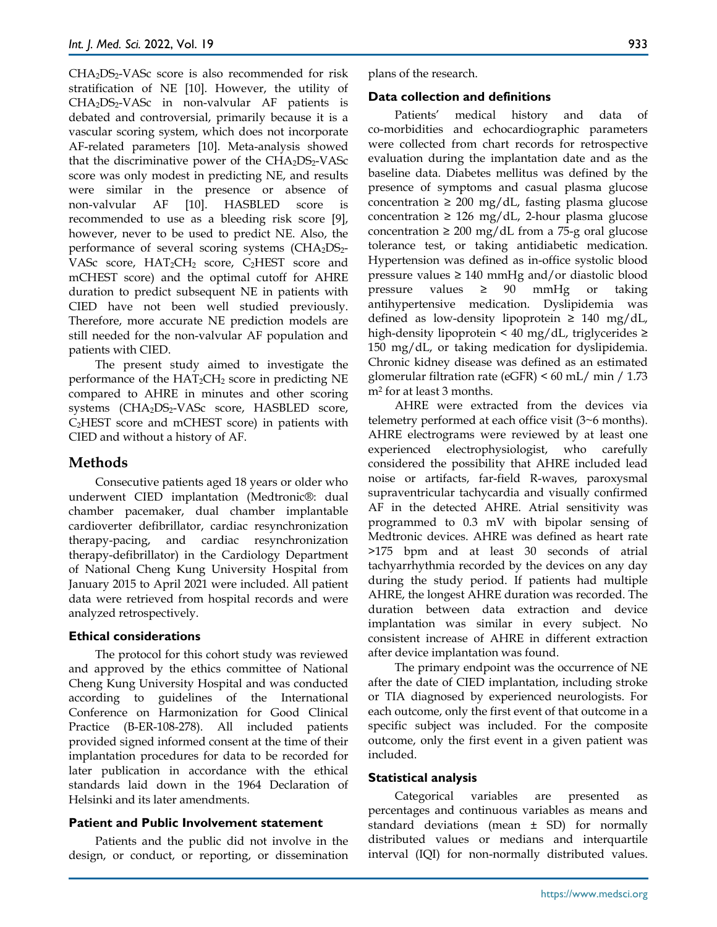$CHA<sub>2</sub>DS<sub>2</sub>-VASc$  score is also recommended for risk stratification of NE [10]. However, the utility of CHA<sub>2</sub>DS<sub>2</sub>-VASc in non-valvular AF patients is debated and controversial, primarily because it is a vascular scoring system, which does not incorporate AF-related parameters [10]. Meta-analysis showed that the discriminative power of the  $CHA<sub>2</sub>DS<sub>2</sub>-VASc$ score was only modest in predicting NE, and results were similar in the presence or absence of non-valvular AF [10]. HASBLED score is recommended to use as a bleeding risk score [9], however, never to be used to predict NE. Also, the performance of several scoring systems  $(CHA<sub>2</sub>DS<sub>2</sub>$ -VASc score, HAT2CH2 score, C2HEST score and mCHEST score) and the optimal cutoff for AHRE duration to predict subsequent NE in patients with CIED have not been well studied previously. Therefore, more accurate NE prediction models are still needed for the non-valvular AF population and patients with CIED.

The present study aimed to investigate the performance of the  $HAT_2CH_2$  score in predicting NE compared to AHRE in minutes and other scoring systems (CHA<sub>2</sub>DS<sub>2</sub>-VASc score, HASBLED score,  $C<sub>2</sub>HEST$  score and mCHEST score) in patients with CIED and without a history of AF.

# **Methods**

Consecutive patients aged 18 years or older who underwent CIED implantation (Medtronic®: dual chamber pacemaker, dual chamber implantable cardioverter defibrillator, cardiac resynchronization therapy-pacing, and cardiac resynchronization therapy-defibrillator) in the Cardiology Department of National Cheng Kung University Hospital from January 2015 to April 2021 were included. All patient data were retrieved from hospital records and were analyzed retrospectively.

## **Ethical considerations**

The protocol for this cohort study was reviewed and approved by the ethics committee of National Cheng Kung University Hospital and was conducted according to guidelines of the International Conference on Harmonization for Good Clinical Practice (B-ER-108-278). All included patients provided signed informed consent at the time of their implantation procedures for data to be recorded for later publication in accordance with the ethical standards laid down in the 1964 Declaration of Helsinki and its later amendments.

## **Patient and Public Involvement statement**

Patients and the public did not involve in the design, or conduct, or reporting, or dissemination plans of the research.

## **Data collection and definitions**

Patients' medical history and data of co-morbidities and echocardiographic parameters were collected from chart records for retrospective evaluation during the implantation date and as the baseline data. Diabetes mellitus was defined by the presence of symptoms and casual plasma glucose concentration  $\geq 200$  mg/dL, fasting plasma glucose concentration  $\geq 126$  mg/dL, 2-hour plasma glucose concentration  $\geq 200$  mg/dL from a 75-g oral glucose tolerance test, or taking antidiabetic medication. Hypertension was defined as in-office systolic blood pressure values  $\geq 140$  mmHg and/or diastolic blood pressure values  $\geq$  90 mmHg or taking antihypertensive medication. Dyslipidemia was defined as low-density lipoprotein  $\geq 140$  mg/dL, high-density lipoprotein < 40 mg/dL, triglycerides  $\ge$ 150 mg/dL, or taking medication for dyslipidemia. Chronic kidney disease was defined as an estimated glomerular filtration rate (eGFR) < 60 mL/ min / 1.73 m2 for at least 3 months.

AHRE were extracted from the devices via telemetry performed at each office visit (3~6 months). AHRE electrograms were reviewed by at least one experienced electrophysiologist, who carefully considered the possibility that AHRE included lead noise or artifacts, far-field R-waves, paroxysmal supraventricular tachycardia and visually confirmed AF in the detected AHRE. Atrial sensitivity was programmed to 0.3 mV with bipolar sensing of Medtronic devices. AHRE was defined as heart rate >175 bpm and at least 30 seconds of atrial tachyarrhythmia recorded by the devices on any day during the study period. If patients had multiple AHRE, the longest AHRE duration was recorded. The duration between data extraction and device implantation was similar in every subject. No consistent increase of AHRE in different extraction after device implantation was found.

The primary endpoint was the occurrence of NE after the date of CIED implantation, including stroke or TIA diagnosed by experienced neurologists. For each outcome, only the first event of that outcome in a specific subject was included. For the composite outcome, only the first event in a given patient was included.

## **Statistical analysis**

Categorical variables are presented as percentages and continuous variables as means and standard deviations (mean  $\pm$  SD) for normally distributed values or medians and interquartile interval (IQI) for non-normally distributed values.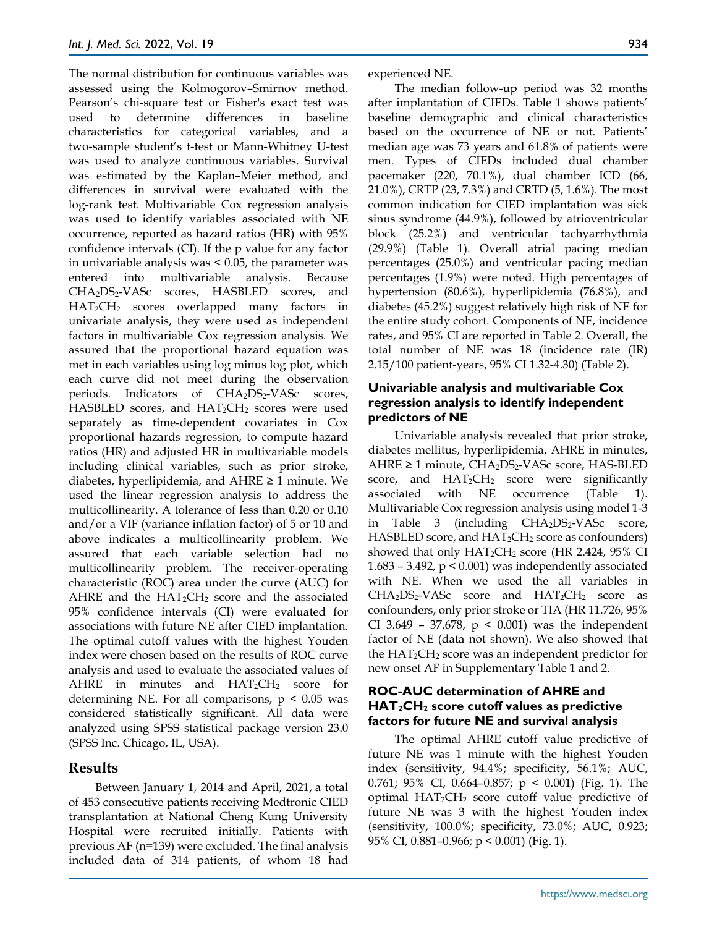The normal distribution for continuous variables was assessed using the Kolmogorov–Smirnov method. Pearson's chi-square test or Fisher's exact test was used to determine differences in baseline characteristics for categorical variables, and a two-sample student's t-test or Mann-Whitney U-test was used to analyze continuous variables. Survival was estimated by the Kaplan–Meier method, and differences in survival were evaluated with the log-rank test. Multivariable Cox regression analysis was used to identify variables associated with NE occurrence, reported as hazard ratios (HR) with 95% confidence intervals (CI). If the p value for any factor in univariable analysis was < 0.05, the parameter was entered into multivariable analysis. Because CHA<sub>2</sub>DS<sub>2</sub>-VASc scores, HASBLED scores, and HAT2CH2 scores overlapped many factors in univariate analysis, they were used as independent factors in multivariable Cox regression analysis. We assured that the proportional hazard equation was met in each variables using log minus log plot, which each curve did not meet during the observation periods. Indicators of CHA<sub>2</sub>DS<sub>2</sub>-VASc scores, HASBLED scores, and  $HAT_2CH_2$  scores were used separately as time-dependent covariates in Cox proportional hazards regression, to compute hazard ratios (HR) and adjusted HR in multivariable models including clinical variables, such as prior stroke, diabetes, hyperlipidemia, and  $A HRE \geq 1$  minute. We used the linear regression analysis to address the multicollinearity. A tolerance of less than 0.20 or 0.10 and/or a VIF (variance inflation factor) of 5 or 10 and above indicates a multicollinearity problem. We assured that each variable selection had no multicollinearity problem. The receiver-operating characteristic (ROC) area under the curve (AUC) for AHRE and the  $HAT_2CH_2$  score and the associated 95% confidence intervals (CI) were evaluated for associations with future NE after CIED implantation. The optimal cutoff values with the highest Youden index were chosen based on the results of ROC curve analysis and used to evaluate the associated values of AHRE in minutes and  $HAT_2CH_2$  score for determining NE. For all comparisons,  $p < 0.05$  was considered statistically significant. All data were analyzed using SPSS statistical package version 23.0 (SPSS Inc. Chicago, IL, USA).

## **Results**

Between January 1, 2014 and April, 2021, a total of 453 consecutive patients receiving Medtronic CIED transplantation at National Cheng Kung University Hospital were recruited initially. Patients with previous AF (n=139) were excluded. The final analysis included data of 314 patients, of whom 18 had experienced NE.

The median follow-up period was 32 months after implantation of CIEDs. Table 1 shows patients' baseline demographic and clinical characteristics based on the occurrence of NE or not. Patients' median age was 73 years and 61.8% of patients were men. Types of CIEDs included dual chamber pacemaker (220, 70.1%), dual chamber ICD (66, 21.0%), CRTP (23, 7.3%) and CRTD (5, 1.6%). The most common indication for CIED implantation was sick sinus syndrome (44.9%), followed by atrioventricular block (25.2%) and ventricular tachyarrhythmia (29.9%) (Table 1). Overall atrial pacing median percentages (25.0%) and ventricular pacing median percentages (1.9%) were noted. High percentages of hypertension (80.6%), hyperlipidemia (76.8%), and diabetes (45.2%) suggest relatively high risk of NE for the entire study cohort. Components of NE, incidence rates, and 95% CI are reported in Table 2. Overall, the total number of NE was 18 (incidence rate (IR) 2.15/100 patient-years, 95% CI 1.32-4.30) (Table 2).

## **Univariable analysis and multivariable Cox regression analysis to identify independent predictors of NE**

Univariable analysis revealed that prior stroke, diabetes mellitus, hyperlipidemia, AHRE in minutes, AHRE ≥ 1 minute, CHA<sub>2</sub>DS<sub>2</sub>-VASc score, HAS-BLED score, and  $HAT_2CH_2$  score were significantly associated with NE occurrence (Table 1). Multivariable Cox regression analysis using model 1-3 in Table 3 (including CHA<sub>2</sub>DS<sub>2</sub>-VASc score, HASBLED score, and  $HAT_2CH_2$  score as confounders) showed that only  $HAT_2CH_2$  score (HR 2.424, 95% CI 1.683 – 3.492,  $p < 0.001$ ) was independently associated with NE. When we used the all variables in  $CHA<sub>2</sub>DS<sub>2</sub>-VASc$  score and  $HAT<sub>2</sub>CH<sub>2</sub>$  score as confounders, only prior stroke or TIA (HR 11.726, 95% CI 3.649 – 37.678,  $p \le 0.001$ ) was the independent factor of NE (data not shown). We also showed that the  $HAT_2CH_2$  score was an independent predictor for new onset AF in Supplementary Table 1 and 2.

## **ROC-AUC determination of AHRE and HAT2CH2 score cutoff values as predictive factors for future NE and survival analysis**

The optimal AHRE cutoff value predictive of future NE was 1 minute with the highest Youden index (sensitivity, 94.4%; specificity, 56.1%; AUC, 0.761; 95% CI, 0.664–0.857; p < 0.001) (Fig. 1). The optimal HAT2CH2 score cutoff value predictive of future NE was 3 with the highest Youden index (sensitivity, 100.0%; specificity, 73.0%; AUC, 0.923; 95% CI, 0.881–0.966; p < 0.001) (Fig. 1).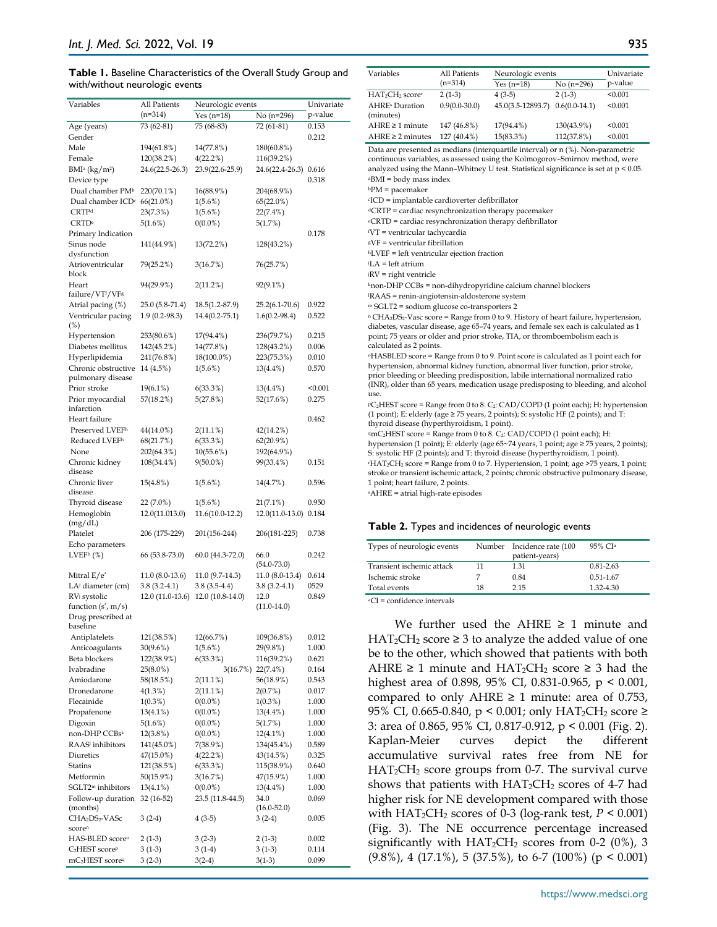#### **Table 1.** Baseline Characteristics of the Overall Study Group and with/without neurologic events

| Variables                               | All Patients<br>(n=314) | Neurologic events<br>$Yes (n=18)$ | No (n=296)            | Univariate<br>p-value |  |
|-----------------------------------------|-------------------------|-----------------------------------|-----------------------|-----------------------|--|
|                                         |                         |                                   |                       |                       |  |
| Age (years)                             | 73 (62-81)              | 75 (68-83)                        | 72 (61-81)            | 0.153                 |  |
| Gender                                  |                         |                                   |                       | 0.212                 |  |
| Male                                    | 194(61.8%)              | 14(77.8%)                         | 180(60.8%)            |                       |  |
| Female                                  | 120(38.2%)              | 4(22.2%)                          | 116(39.2%)            |                       |  |
| BMI <sup>a</sup> (kg/m <sup>2</sup> )   | 24.6(22.5-26.3)         | 23.9(22.6-25.9)                   | 24.6(22.4-26.3) 0.616 |                       |  |
| Device type                             |                         |                                   |                       | 0.318                 |  |
| Dual chamber PM <sup>b</sup>            | 220(70.1%)              | 16(88.9%)                         | 204(68.9%)            |                       |  |
| Dual chamber ICD <sup>c</sup> 66(21.0%) |                         | $1(5.6\%)$                        | $65(22.0\%)$          |                       |  |
| CRTP <sup>d</sup>                       | 23(7.3%)                | $1(5.6\%)$                        | 22(7.4%)              |                       |  |
| CRTD <sup>e</sup>                       | 5(1.6%)                 | $0(0.0\%)$                        | 5(1.7%)               |                       |  |
| Primary Indication                      |                         |                                   |                       | 0.178                 |  |
| Sinus node                              | 141(44.9%)              | 13(72.2%)                         | 128(43.2%)            |                       |  |
| dysfunction                             |                         |                                   |                       |                       |  |
| Atrioventricular                        | 79(25.2%)               | 3(16.7%)                          | 76(25.7%)             |                       |  |
| block                                   |                         |                                   |                       |                       |  |
| Heart                                   | 94(29.9%)               | 2(11.2%)                          | 92(9.1%)              |                       |  |
| failure/VTf/VFs                         |                         |                                   |                       |                       |  |
| Atrial pacing (%)                       | 25.0 (5.8-71.4)         | 18.5(1.2-87.9)                    | $25.2(6.1 - 70.6)$    | 0.922                 |  |
| Ventricular pacing                      | $1.9(0.2 - 98.3)$       | $14.4(0.2 - 75.1)$                | $1.6(0.2 - 98.4)$     | 0.522                 |  |
| $(\%)$                                  |                         |                                   |                       |                       |  |
| Hypertension                            | 253(80.6%)              | 17(94.4%)                         | 236(79.7%)            | 0.215                 |  |
| Diabetes mellitus                       | 142(45.2%)              | 14(77.8%)                         | 128(43.2%)            | 0.006                 |  |
|                                         | 241(76.8%)              |                                   | 223(75.3%)            |                       |  |
| Hyperlipidemia                          |                         | 18(100.0%)                        |                       | 0.010                 |  |
| Chronic obstructive                     | 14 (4.5%)               | $1(5.6\%)$                        | $13(4.4\%)$           | 0.570                 |  |
| pulmonary disease                       |                         |                                   |                       |                       |  |
| Prior stroke                            | 19(6.1%)                | 6(33.3%)                          | $13(4.4\%)$           | < 0.001               |  |
| Prior myocardial                        | 57(18.2%)               | 5(27.8%)                          | 52(17.6%)             | 0.275                 |  |
| infarction                              |                         |                                   |                       |                       |  |
| Heart failure                           |                         |                                   |                       | 0.462                 |  |
| Preserved LVEFh                         | 44(14.0%)               | $2(11.1\%)$                       | 42(14.2%)             |                       |  |
| Reduced LVEF <sup>h</sup>               | 68(21.7%)               | 6(33.3%)                          | 62(20.9%)             |                       |  |
| None                                    | 202(64.3%)              | 10(55.6%)                         | 192(64.9%)            |                       |  |
| Chronic kidney                          | 108(34.4%)              | $9(50.0\%)$                       | 99(33.4%)             | 0.151                 |  |
| disease                                 |                         |                                   |                       |                       |  |
| Chronic liver                           | 15(4.8%)                | $1(5.6\%)$                        | 14(4.7%)              | 0.596                 |  |
| disease                                 |                         |                                   |                       |                       |  |
| Thyroid disease                         | 22 (7.0%)               | $1(5.6\%)$                        | $21(7.1\%)$           | 0.950                 |  |
| Hemoglobin                              | 12.0(11.013.0)          | 11.6(10.0-12.2)                   | 12.0(11.0-13.0) 0.184 |                       |  |
| (mg/dL)                                 |                         |                                   |                       |                       |  |
| Platelet                                | 206 (175-229)           | 201(156-244)                      | 206(181-225)          | 0.738                 |  |
| Echo parameters                         |                         |                                   |                       |                       |  |
| LVEF <sup>h</sup> (%)                   | 66 (53.8-73.0)          | $60.0(44.3-72.0)$                 | 66.0                  | 0.242                 |  |
|                                         |                         |                                   | $(54.0 - 73.0)$       |                       |  |
| Mitral $E/e'$                           | 11.0 (8.0-13.6)         | 11.0 (9.7-14.3)                   | 11.0 (8.0-13.4)       | 0.614                 |  |
| LA <sup>i</sup> diameter (cm)           | $3.8(3.2 - 4.1)$        | $3.8(3.5-4.4)$                    | $3.8(3.2 - 4.1)$      | 0529                  |  |
| RV <sub>i</sub> systolic                | 12.0 (11.0-13.6)        | 12.0 (10.8-14.0)                  | 12.0                  | 0.849                 |  |
| function $(s', m/s)$                    |                         |                                   | $(11.0-14.0)$         |                       |  |
| Drug prescribed at                      |                         |                                   |                       |                       |  |
| baseline                                |                         |                                   |                       |                       |  |
| Antiplatelets                           | 121(38.5%)              | 12(66.7%)                         | 109(36.8%)            | 0.012                 |  |
| Anticoagulants                          | 30(9.6%)                | $1(5.6\%)$                        | 29(9.8%)              | 1.000                 |  |
| Beta blockers                           |                         | 6(33.3%)                          | 116(39.2%)            | 0.621                 |  |
| Ivabradine                              | 122(38.9%)              |                                   | 3(16.7%) 22(7.4%)     |                       |  |
|                                         | 25(8.0%)                |                                   |                       | 0.164                 |  |
| Amiodarone                              | 58(18.5%)               | 2(11.1%)                          | 56(18.9%)             | 0.543                 |  |
| Dronedarone                             | 4(1.3%)                 | $2(11.1\%)$                       | 2(0.7%)               | 0.017                 |  |
| Flecainide                              | $1(0.3\%)$              | $0(0.0\%)$                        | $1(0.3\%)$            | 1.000                 |  |
| Propafenone                             | 13(4.1%)                | $0(0.0\%)$                        | $13(4.4\%)$           | 1.000                 |  |
| Digoxin                                 | 5(1.6%)                 | $0(0.0\%)$                        | 5(1.7%)               | 1.000                 |  |
| non-DHP CCBsk                           | 12(3.8%)                | $0(0.0\%)$                        | $12(4.1\%)$           | 1.000                 |  |
| RAAS <sup>1</sup> inhibitors            | 141(45.0%)              | 7(38.9%)                          | 134(45.4%)            | 0.589                 |  |
| Diuretics                               | 47(15.0%)               | 4(22.2%)                          | 43(14.5%)             | 0.325                 |  |
| Statins                                 | 121(38.5%)              | 6(33.3%)                          | 115(38.9%)            | 0.640                 |  |
| Metformin                               | 50(15.9%)               | 3(16.7%)                          | 47(15.9%)             | 1.000                 |  |
| SGLT2 <sup>m</sup> inhibitors           | 13(4.1%)                | $0(0.0\%)$                        | 13(4.4%)              | 1.000                 |  |
| Follow-up duration                      | 32 (16-52)              | 23.5 (11.8-44.5)                  | 34.0                  | 0.069                 |  |
| (months)                                |                         |                                   | $(16.0 - 52.0)$       |                       |  |
| CHA <sub>2</sub> DS <sub>2</sub> -VASc  | $3(2-4)$                | $4(3-5)$                          | $3(2-4)$              | 0.005                 |  |
| scoren                                  |                         |                                   |                       |                       |  |
| HAS-BLED score <sup>o</sup>             | $2(1-3)$                | $3(2-3)$                          | $2(1-3)$              | 0.002                 |  |
| C <sub>2</sub> HEST scoreP              | 3 (1-3)                 | $3(1-4)$                          | $3(1-3)$              | 0.114                 |  |
|                                         |                         |                                   |                       | 0.099                 |  |
| mC <sub>2</sub> HEST scoreq             | $3(2-3)$                | $3(2-4)$                          | $3(1-3)$              |                       |  |

| Variables                                                                                                                                                                                                                                                                                                                                                                                                                                                                                                                                                                                                                                                                                                                                                                                                                                                                                                                                                                                                                                                                                                                                                                                                                                                                                                                                                                                                                                                                                                                                                                                                                                                                                                                                                                                                                                                                                                                                                                                                                                                                                                                                                                                                                                                                                                                                                                | All Patients    | Neurologic events | Univariate      |         |  |
|--------------------------------------------------------------------------------------------------------------------------------------------------------------------------------------------------------------------------------------------------------------------------------------------------------------------------------------------------------------------------------------------------------------------------------------------------------------------------------------------------------------------------------------------------------------------------------------------------------------------------------------------------------------------------------------------------------------------------------------------------------------------------------------------------------------------------------------------------------------------------------------------------------------------------------------------------------------------------------------------------------------------------------------------------------------------------------------------------------------------------------------------------------------------------------------------------------------------------------------------------------------------------------------------------------------------------------------------------------------------------------------------------------------------------------------------------------------------------------------------------------------------------------------------------------------------------------------------------------------------------------------------------------------------------------------------------------------------------------------------------------------------------------------------------------------------------------------------------------------------------------------------------------------------------------------------------------------------------------------------------------------------------------------------------------------------------------------------------------------------------------------------------------------------------------------------------------------------------------------------------------------------------------------------------------------------------------------------------------------------------|-----------------|-------------------|-----------------|---------|--|
|                                                                                                                                                                                                                                                                                                                                                                                                                                                                                                                                                                                                                                                                                                                                                                                                                                                                                                                                                                                                                                                                                                                                                                                                                                                                                                                                                                                                                                                                                                                                                                                                                                                                                                                                                                                                                                                                                                                                                                                                                                                                                                                                                                                                                                                                                                                                                                          | $(n=314)$       | Yes $(n=18)$      | No (n=296)      | p-value |  |
| HAT <sub>2</sub> CH <sub>2</sub> scorer                                                                                                                                                                                                                                                                                                                                                                                                                                                                                                                                                                                                                                                                                                                                                                                                                                                                                                                                                                                                                                                                                                                                                                                                                                                                                                                                                                                                                                                                                                                                                                                                                                                                                                                                                                                                                                                                                                                                                                                                                                                                                                                                                                                                                                                                                                                                  | $2(1-3)$        | $4(3-5)$          | $2(1-3)$        | < 0.001 |  |
| <b>AHRE</b> s Duration                                                                                                                                                                                                                                                                                                                                                                                                                                                                                                                                                                                                                                                                                                                                                                                                                                                                                                                                                                                                                                                                                                                                                                                                                                                                                                                                                                                                                                                                                                                                                                                                                                                                                                                                                                                                                                                                                                                                                                                                                                                                                                                                                                                                                                                                                                                                                   | $0.9(0.0-30.0)$ | 45.0(3.5-12893.7) | $0.6(0.0-14.1)$ | < 0.001 |  |
| (minutes)                                                                                                                                                                                                                                                                                                                                                                                                                                                                                                                                                                                                                                                                                                                                                                                                                                                                                                                                                                                                                                                                                                                                                                                                                                                                                                                                                                                                                                                                                                                                                                                                                                                                                                                                                                                                                                                                                                                                                                                                                                                                                                                                                                                                                                                                                                                                                                |                 |                   |                 |         |  |
| AHRE ≥ 1 minute                                                                                                                                                                                                                                                                                                                                                                                                                                                                                                                                                                                                                                                                                                                                                                                                                                                                                                                                                                                                                                                                                                                                                                                                                                                                                                                                                                                                                                                                                                                                                                                                                                                                                                                                                                                                                                                                                                                                                                                                                                                                                                                                                                                                                                                                                                                                                          | 147 (46.8%)     | 17(94.4%)         | 130(43.9%)      | < 0.001 |  |
| $AHRE \geq 2$ minutes                                                                                                                                                                                                                                                                                                                                                                                                                                                                                                                                                                                                                                                                                                                                                                                                                                                                                                                                                                                                                                                                                                                                                                                                                                                                                                                                                                                                                                                                                                                                                                                                                                                                                                                                                                                                                                                                                                                                                                                                                                                                                                                                                                                                                                                                                                                                                    | 127 (40.4%)     | 15(83.3%)         | 112(37.8%)      | < 0.001 |  |
| Data are presented as medians (interquartile interval) or n (%). Non-parametric<br>continuous variables, as assessed using the Kolmogorov-Smirnov method, were<br>analyzed using the Mann–Whitney U test. Statistical significance is set at $p < 0.05$ .<br>aBMI = body mass index<br><sup>b</sup> PM = pacemaker<br><sup>c</sup> ICD = implantable cardioverter defibrillator<br><sup>d</sup> CRTP = cardiac resynchronization therapy pacemaker<br>eCRTD = cardiac resynchronization therapy defibrillator<br>fVT = ventricular tachycardia<br><sup>g</sup> VF = ventricular fibrillation<br>hLVEF = left ventricular ejection fraction<br>iLA = left atrium<br><i><b>RV</b></i> = right ventricle<br>knon-DHP CCBs = non-dihydropyridine calcium channel blockers<br>RAAS = renin-angiotensin-aldosterone system<br>m SGLT2 = sodium glucose co-transporters 2<br>n CHA <sub>2</sub> DS <sub>2</sub> -Vasc score = Range from 0 to 9. History of heart failure, hypertension,<br>diabetes, vascular disease, age 65-74 years, and female sex each is calculated as 1<br>point; 75 years or older and prior stroke, TIA, or thromboembolism each is<br>calculated as 2 points.<br>$\Phi$ HASBLED score = Range from 0 to 9. Point score is calculated as 1 point each for<br>hypertension, abnormal kidney function, abnormal liver function, prior stroke,<br>prior bleeding or bleeding predisposition, labile international normalized ratio<br>(INR), older than 65 years, medication usage predisposing to bleeding, and alcohol<br>use.<br>PC <sub>2</sub> HEST score = Range from 0 to 8. C <sub>2</sub> : CAD/COPD (1 point each); H: hypertension<br>(1 point); E: elderly (age $\geq$ 75 years, 2 points); S: systolic HF (2 points); and T:<br>thyroid disease (hyperthyroidism, 1 point).<br>9mC <sub>2</sub> HEST score = Range from 0 to 8. C <sub>2</sub> : CAD/COPD (1 point each); H:<br>hypertension (1 point); E: elderly (age 65∼74 years, 1 point; age ≥ 75 years, 2 points);<br>S: systolic HF (2 points); and T: thyroid disease (hyperthyroidism, 1 point).<br>"HAT <sub>2</sub> CH <sub>2</sub> score = Range from 0 to 7. Hypertension, 1 point; age >75 years, 1 point;<br>stroke or transient ischemic attack, 2 points; chronic obstructive pulmonary disease,<br>1 point; heart failure, 2 points.<br>sAHRE = atrial high-rate episodes |                 |                   |                 |         |  |

#### **Table 2.** Types and incidences of neurologic events

| Types of neurologic events |    | Number Incidence rate (100<br>patient-years) | 95% CIa       |
|----------------------------|----|----------------------------------------------|---------------|
| Transient ischemic attack  | 11 | 1.31                                         | $0.81 - 2.63$ |
| Ischemic stroke            |    | 0.84                                         | 0.51-1.67     |
| Total events               | 18 | 215                                          | 1.32-4.30     |
|                            |    |                                              |               |

 $\sqrt[3]{a}$  = confidence intervals

We further used the AHRE  $\geq$  1 minute and  $HAT_2CH_2$  score  $\geq 3$  to analyze the added value of one be to the other, which showed that patients with both AHRE  $\geq 1$  minute and HAT<sub>2</sub>CH<sub>2</sub> score  $\geq 3$  had the highest area of 0.898, 95% CI, 0.831-0.965, p < 0.001, compared to only AHRE  $\geq 1$  minute: area of 0.753, 95% CI, 0.665-0.840,  $p$  < 0.001; only HAT<sub>2</sub>CH<sub>2</sub> score ≥ 3: area of 0.865, 95% CI, 0.817-0.912, p < 0.001 (Fig. 2). Kaplan-Meier curves depict the different accumulative survival rates free from NE for HAT<sub>2</sub>CH<sub>2</sub> score groups from 0-7. The survival curve shows that patients with  $HAT_2CH_2$  scores of 4-7 had higher risk for NE development compared with those with  $HAT_2CH_2$  scores of 0-3 (log-rank test,  $P < 0.001$ ) (Fig. 3). The NE occurrence percentage increased significantly with  $HAT_2CH_2$  scores from 0-2 (0%), 3  $(9.8\%)$ , 4 (17.1%), 5 (37.5%), to 6-7 (100%) (p < 0.001)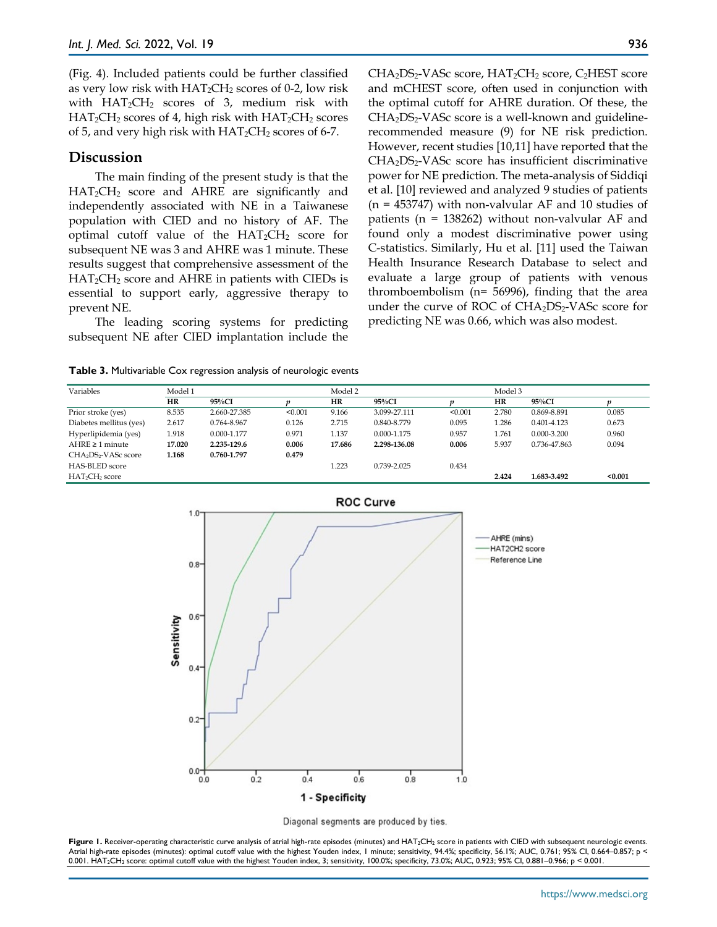(Fig. 4). Included patients could be further classified as very low risk with  $HAT_2CH_2$  scores of 0-2, low risk with  $HAT_2CH_2$  scores of 3, medium risk with  $HAT_2CH_2$  scores of 4, high risk with  $HAT_2CH_2$  scores of 5, and very high risk with  $HAT_2CH_2$  scores of 6-7.

# **Discussion**

The main finding of the present study is that the HAT2CH2 score and AHRE are significantly and independently associated with NE in a Taiwanese population with CIED and no history of AF. The optimal cutoff value of the  $HAT_2CH_2$  score for subsequent NE was 3 and AHRE was 1 minute. These results suggest that comprehensive assessment of the  $HAT_2CH_2$  score and AHRE in patients with CIEDs is essential to support early, aggressive therapy to prevent NE.

The leading scoring systems for predicting subsequent NE after CIED implantation include the

CHA<sub>2</sub>DS<sub>2</sub>-VASc score, HAT<sub>2</sub>CH<sub>2</sub> score, C<sub>2</sub>HEST score and mCHEST score, often used in conjunction with the optimal cutoff for AHRE duration. Of these, the  $CHA<sub>2</sub>DS<sub>2</sub>-VASc score is a well-known and guideline$ recommended measure (9) for NE risk prediction. However, recent studies [10,11] have reported that the CHA<sub>2</sub>DS<sub>2</sub>-VASc score has insufficient discriminative power for NE prediction. The meta-analysis of Siddiqi et al. [10] reviewed and analyzed 9 studies of patients  $(n = 453747)$  with non-valvular AF and 10 studies of patients ( $n = 138262$ ) without non-valvular AF and found only a modest discriminative power using C-statistics. Similarly, Hu et al. [11] used the Taiwan Health Insurance Research Database to select and evaluate a large group of patients with venous thromboembolism (n= 56996), finding that the area under the curve of ROC of  $CHA<sub>2</sub>DS<sub>2</sub>-VASc$  score for predicting NE was 0.66, which was also modest.

**Table 3.** Multivariable Cox regression analysis of neurologic events

| Variables                                    | Model 1   |              |         |           | Model 2      |         |           | Model 3      |         |  |
|----------------------------------------------|-----------|--------------|---------|-----------|--------------|---------|-----------|--------------|---------|--|
|                                              | <b>HR</b> | 95%CI        |         | <b>HR</b> | $95\%$ CI    |         | <b>HR</b> | 95%CI        |         |  |
| Prior stroke (yes)                           | 8.535     | 2.660-27.385 | < 0.001 | 9.166     | 3.099-27.111 | < 0.001 | 2.780     | 0.869-8.891  | 0.085   |  |
| Diabetes mellitus (yes)                      | 2.617     | 0.764-8.967  | 0.126   | 2.715     | 0.840-8.779  | 0.095   | 1.286     | 0.401-4.123  | 0.673   |  |
| Hyperlipidemia (yes)                         | 1.918     | 0.000-1.177  | 0.971   | 1.137     | 0.000-1.175  | 0.957   | 1.761     | 0.000-3.200  | 0.960   |  |
| AHRE $\geq 1$ minute                         | 17.020    | 2.235-129.6  | 0.006   | 17.686    | 2.298-136.08 | 0.006   | 5.937     | 0.736-47.863 | 0.094   |  |
| CHA <sub>2</sub> DS <sub>2</sub> -VASc score | 1.168     | 0.760-1.797  | 0.479   |           |              |         |           |              |         |  |
| HAS-BLED score                               |           |              |         | 1.223     | 0.739-2.025  | 0.434   |           |              |         |  |
| HAT <sub>2</sub> CH <sub>2</sub> score       |           |              |         |           |              |         | 2.424     | 1.683-3.492  | < 0.001 |  |





Figure 1. Receiver-operating characteristic curve analysis of atrial high-rate episodes (minutes) and HAT<sub>2</sub>CH<sub>2</sub> score in patients with CIED with subsequent neurologic events. Atrial high-rate episodes (minutes): optimal cutoff value with the highest Youden index, 1 minute; sensitivity, 94.4%; specificity, 56.1%; AUC, 0.761; 95% CI, 0.664-0.857; p < 0.001. HAT2CH2 score: optimal cutoff value with the highest Youden index, 3; sensitivity, 100.0%; specificity, 73.0%; AUC, 0.923; 95% CI, 0.881–0.966; p < 0.001.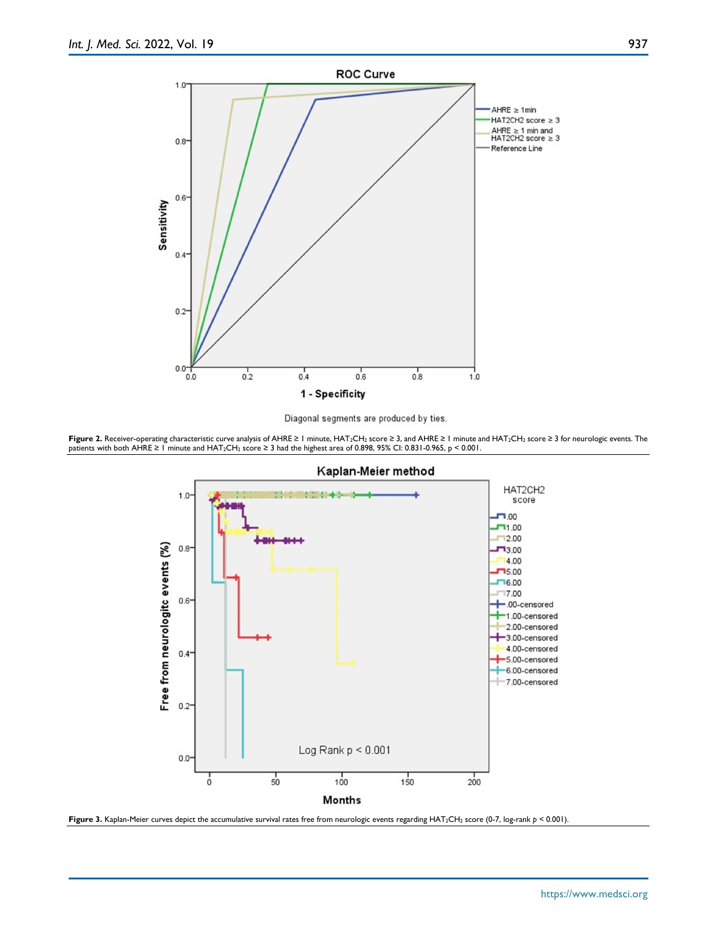



**Figure 2.** Receiver-operating characteristic curve analysis of AHRE ≥ 1 minute, HAT2CH2 score ≥ 3, and AHRE ≥ 1 minute and HAT2CH2 score ≥ 3 for neurologic events. The patients with both AHRE ≥ 1 minute and HAT2CH2 score ≥ 3 had the highest area of 0.898, 95% CI: 0.831-0.965, p < 0.001.



Figure 3. Kaplan-Meier curves depict the accumulative survival rates free from neurologic events regarding HAT<sub>2</sub>CH<sub>2</sub> score (0-7, log-rank *p* < 0.001).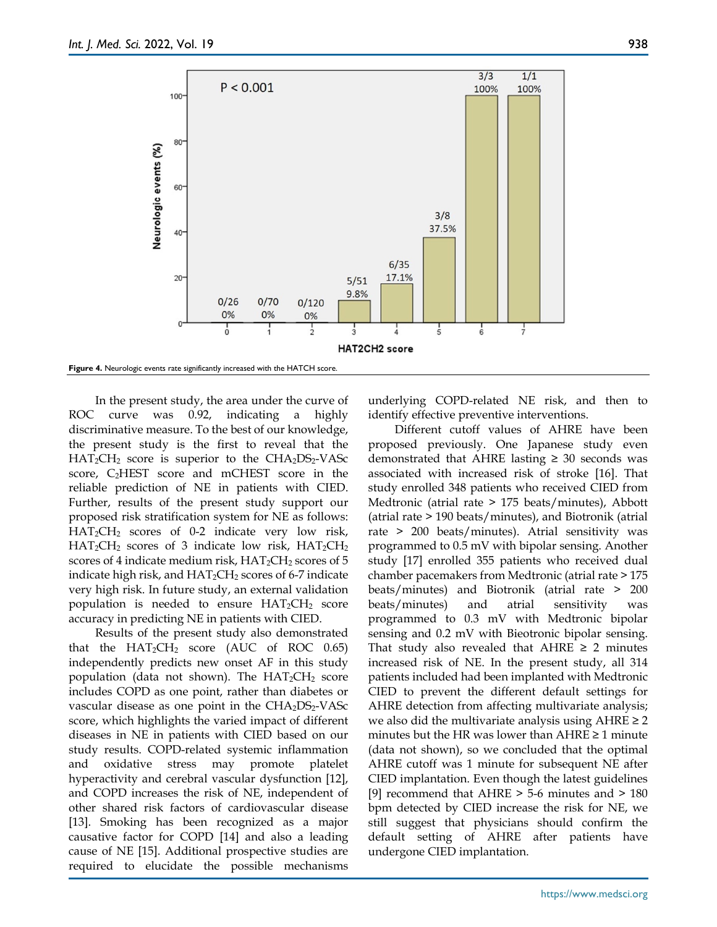

In the present study, the area under the curve of ROC curve was 0.92, indicating a highly discriminative measure. To the best of our knowledge, the present study is the first to reveal that the  $HAT_2CH_2$  score is superior to the  $CHA_2DS_2-VASc$ score, C2HEST score and mCHEST score in the reliable prediction of NE in patients with CIED. Further, results of the present study support our proposed risk stratification system for NE as follows: HAT2CH2 scores of 0-2 indicate very low risk,  $HAT_2CH_2$  scores of 3 indicate low risk,  $HAT_2CH_2$ scores of 4 indicate medium risk,  $HAT_2CH_2$  scores of 5 indicate high risk, and  $HAT_2CH_2$  scores of 6-7 indicate very high risk. In future study, an external validation population is needed to ensure  $HAT_2CH_2$  score accuracy in predicting NE in patients with CIED.

Results of the present study also demonstrated that the  $HAT_2CH_2$  score (AUC of ROC 0.65) independently predicts new onset AF in this study population (data not shown). The  $HAT_2CH_2$  score includes COPD as one point, rather than diabetes or vascular disease as one point in the  $CHA<sub>2</sub>DS<sub>2</sub>-VASc$ score, which highlights the varied impact of different diseases in NE in patients with CIED based on our study results. COPD-related systemic inflammation and oxidative stress may promote platelet hyperactivity and cerebral vascular dysfunction [12], and COPD increases the risk of NE, independent of other shared risk factors of cardiovascular disease [13]. Smoking has been recognized as a major causative factor for COPD [14] and also a leading cause of NE [15]. Additional prospective studies are required to elucidate the possible mechanisms

underlying COPD-related NE risk, and then to identify effective preventive interventions.

Different cutoff values of AHRE have been proposed previously. One Japanese study even demonstrated that AHRE lasting  $\geq$  30 seconds was associated with increased risk of stroke [16]. That study enrolled 348 patients who received CIED from Medtronic (atrial rate > 175 beats/minutes), Abbott (atrial rate > 190 beats/minutes), and Biotronik (atrial rate > 200 beats/minutes). Atrial sensitivity was programmed to 0.5 mV with bipolar sensing. Another study [17] enrolled 355 patients who received dual chamber pacemakers from Medtronic (atrial rate > 175 beats/minutes) and Biotronik (atrial rate > 200 beats/minutes) and atrial sensitivity was programmed to 0.3 mV with Medtronic bipolar sensing and 0.2 mV with Bieotronic bipolar sensing. That study also revealed that  $AHRE \geq 2$  minutes increased risk of NE. In the present study, all 314 patients included had been implanted with Medtronic CIED to prevent the different default settings for AHRE detection from affecting multivariate analysis; we also did the multivariate analysis using  $AHRE \geq 2$ minutes but the HR was lower than  $AHRE \geq 1$  minute (data not shown), so we concluded that the optimal AHRE cutoff was 1 minute for subsequent NE after CIED implantation. Even though the latest guidelines [9] recommend that  $AHRE > 5-6$  minutes and  $> 180$ bpm detected by CIED increase the risk for NE, we still suggest that physicians should confirm the default setting of AHRE after patients have undergone CIED implantation.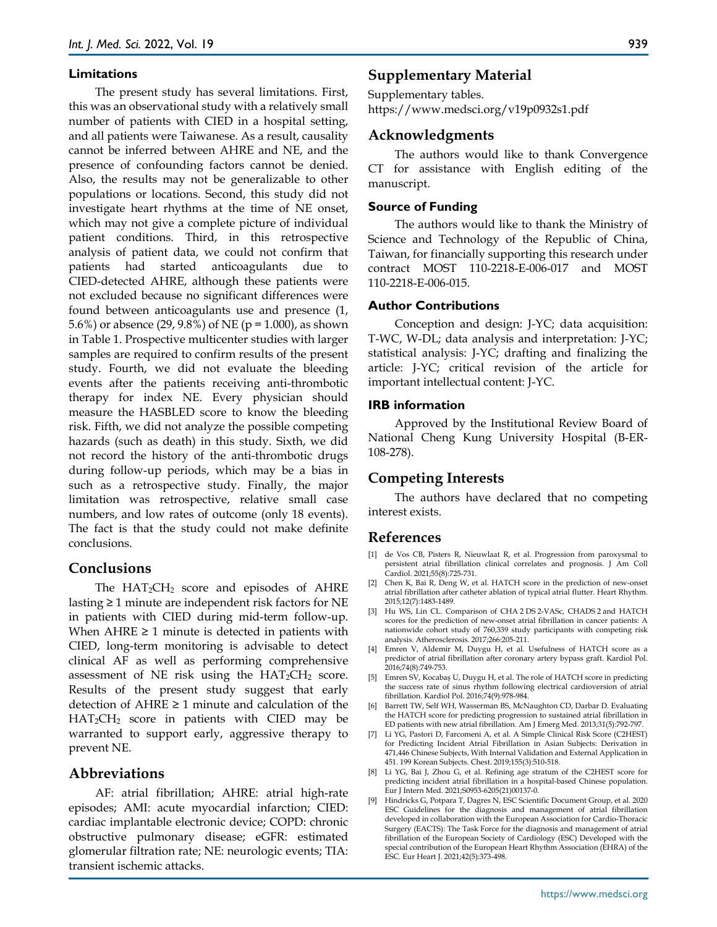#### **Limitations**

The present study has several limitations. First, this was an observational study with a relatively small number of patients with CIED in a hospital setting, and all patients were Taiwanese. As a result, causality cannot be inferred between AHRE and NE, and the presence of confounding factors cannot be denied. Also, the results may not be generalizable to other populations or locations. Second, this study did not investigate heart rhythms at the time of NE onset, which may not give a complete picture of individual patient conditions. Third, in this retrospective analysis of patient data, we could not confirm that patients had started anticoagulants due to CIED-detected AHRE, although these patients were not excluded because no significant differences were found between anticoagulants use and presence (1, 5.6%) or absence (29, 9.8%) of NE (p = 1.000), as shown in Table 1. Prospective multicenter studies with larger samples are required to confirm results of the present study. Fourth, we did not evaluate the bleeding events after the patients receiving anti-thrombotic therapy for index NE. Every physician should measure the HASBLED score to know the bleeding risk. Fifth, we did not analyze the possible competing hazards (such as death) in this study. Sixth, we did not record the history of the anti-thrombotic drugs during follow-up periods, which may be a bias in such as a retrospective study. Finally, the major limitation was retrospective, relative small case numbers, and low rates of outcome (only 18 events). The fact is that the study could not make definite conclusions.

## **Conclusions**

The  $HAT_2CH_2$  score and episodes of  $AHRE$ lasting ≥ 1 minute are independent risk factors for NE in patients with CIED during mid-term follow-up. When  $AHRE \geq 1$  minute is detected in patients with CIED, long-term monitoring is advisable to detect clinical AF as well as performing comprehensive assessment of NE risk using the  $HAT_2CH_2$  score. Results of the present study suggest that early detection of  $AHRE \geq 1$  minute and calculation of the HAT2CH2 score in patients with CIED may be warranted to support early, aggressive therapy to prevent NE.

# **Abbreviations**

AF: atrial fibrillation; AHRE: atrial high-rate episodes; AMI: acute myocardial infarction; CIED: cardiac implantable electronic device; COPD: chronic obstructive pulmonary disease; eGFR: estimated glomerular filtration rate; NE: neurologic events; TIA: transient ischemic attacks.

## **Supplementary Material**

Supplementary tables. https://www.medsci.org/v19p0932s1.pdf

#### **Acknowledgments**

The authors would like to thank Convergence CT for assistance with English editing of the manuscript.

#### **Source of Funding**

The authors would like to thank the Ministry of Science and Technology of the Republic of China, Taiwan, for financially supporting this research under contract MOST 110-2218-E-006-017 and MOST 110-2218-E-006-015.

#### **Author Contributions**

Conception and design: J-YC; data acquisition: T-WC, W-DL; data analysis and interpretation: J-YC; statistical analysis: J-YC; drafting and finalizing the article: J-YC; critical revision of the article for important intellectual content: J-YC.

#### **IRB information**

Approved by the Institutional Review Board of National Cheng Kung University Hospital (B-ER-108-278).

## **Competing Interests**

The authors have declared that no competing interest exists.

## **References**

- [1] de Vos CB, Pisters R, Nieuwlaat R, et al. Progression from paroxysmal to persistent atrial fibrillation clinical correlates and prognosis. J Am Coll Cardiol. 2021;55(8):725-731.
- [2] Chen K, Bai R, Deng W, et al. HATCH score in the prediction of new-onset atrial fibrillation after catheter ablation of typical atrial flutter. Heart Rhythm. 2015;12(7):1483-1489.
- [3] Hu WS, Lin CL. Comparison of CHA 2 DS 2-VASc, CHADS 2 and HATCH scores for the prediction of new-onset atrial fibrillation in cancer patients: A nationwide cohort study of 760,339 study participants with competing risk analysis. Atherosclerosis. 2017;266:205-211.
- [4] Emren V, Aldemir M, Duygu H, et al. Usefulness of HATCH score as a predictor of atrial fibrillation after coronary artery bypass graft. Kardiol Pol. 2016;74(8):749-753.
- [5] Emren SV, Kocabas U, Duygu H, et al. The role of HATCH score in predicting the success rate of sinus rhythm following electrical cardioversion of atrial fibrillation. Kardiol Pol. 2016;74(9):978-984.
- [6] Barrett TW, Self WH, Wasserman BS, McNaughton CD, Darbar D. Evaluating the HATCH score for predicting progression to sustained atrial fibrillation in ED patients with new atrial fibrillation. Am J Emerg Med. 2013;31(5):792-797.
- [7] Li YG, Pastori D, Farcomeni A, et al. A Simple Clinical Risk Score (C2HEST) for Predicting Incident Atrial Fibrillation in Asian Subjects: Derivation in 471,446 Chinese Subjects, With Internal Validation and External Application in 451. 199 Korean Subjects. Chest. 2019;155(3):510-518.
- [8] Li YG, Bai J, Zhou G, et al. Refining age stratum of the C2HEST score for predicting incident atrial fibrillation in a hospital-based Chinese population. Eur J Intern Med. 2021;S0953-6205(21)00137-0.
- [9] Hindricks G, Potpara T, Dagres N, ESC Scientific Document Group, et al. 2020 ESC Guidelines for the diagnosis and management of atrial fibrillation developed in collaboration with the European Association for Cardio-Thoracic Surgery (EACTS): The Task Force for the diagnosis and management of atrial fibrillation of the European Society of Cardiology (ESC) Developed with the special contribution of the European Heart Rhythm Association (EHRA) of the ESC. Eur Heart J. 2021;42(5):373-498.